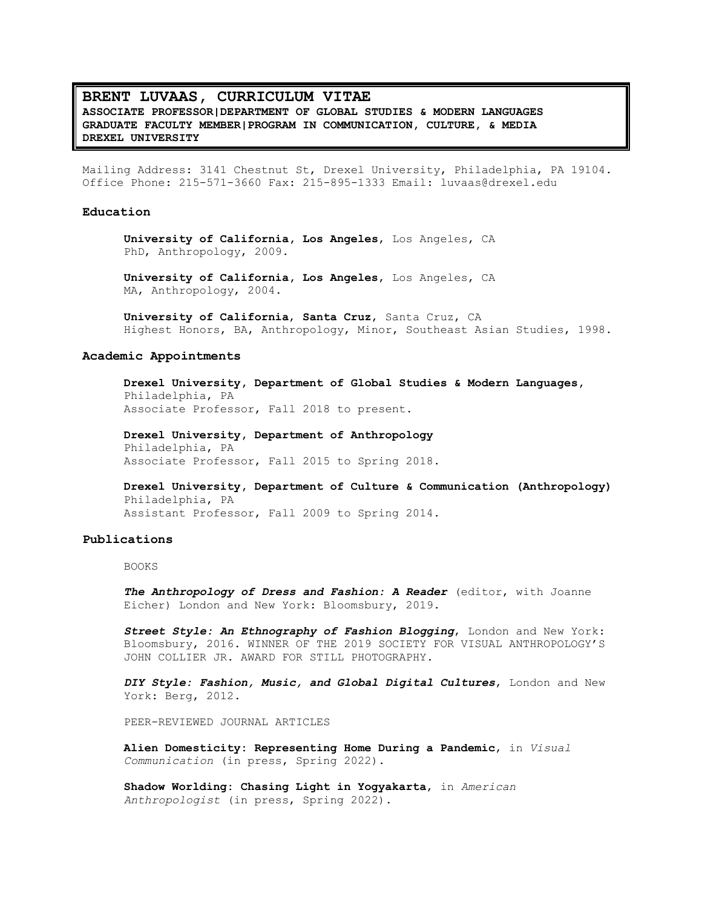# **BRENT LUVAAS, CURRICULUM VITAE ASSOCIATE PROFESSOR|DEPARTMENT OF GLOBAL STUDIES & MODERN LANGUAGES GRADUATE FACULTY MEMBER|PROGRAM IN COMMUNICATION, CULTURE, & MEDIA DREXEL UNIVERSITY**

Mailing Address: 3141 Chestnut St, Drexel University, Philadelphia, PA 19104. Office Phone: 215-571-3660 Fax: 215-895-1333 Email: luvaas@drexel.edu

### **Education**

**University of California, Los Angeles**, Los Angeles, CA PhD, Anthropology, 2009.

**University of California, Los Angeles**, Los Angeles, CA MA, Anthropology, 2004.

**University of California**, **Santa Cruz**, Santa Cruz, CA Highest Honors, BA, Anthropology, Minor, Southeast Asian Studies, 1998.

#### **Academic Appointments**

**Drexel University, Department of Global Studies & Modern Languages,** Philadelphia, PA Associate Professor, Fall 2018 to present.

**Drexel University, Department of Anthropology** Philadelphia, PA Associate Professor, Fall 2015 to Spring 2018.

**Drexel University, Department of Culture & Communication (Anthropology)** Philadelphia, PA Assistant Professor, Fall 2009 to Spring 2014.

#### **Publications**

BOOKS

*The Anthropology of Dress and Fashion: A Reader* (editor, with Joanne Eicher) London and New York: Bloomsbury, 2019.

*Street Style: An Ethnography of Fashion Blogging*, London and New York: Bloomsbury, 2016. WINNER OF THE 2019 SOCIETY FOR VISUAL ANTHROPOLOGY'S JOHN COLLIER JR. AWARD FOR STILL PHOTOGRAPHY.

*DIY Style: Fashion, Music, and Global Digital Cultures*, London and New York: Berg, 2012.

PEER-REVIEWED JOURNAL ARTICLES

**Alien Domesticity: Representing Home During a Pandemic**, in *Visual Communication* (in press, Spring 2022).

**Shadow Worlding: Chasing Light in Yogyakarta**, in *American Anthropologist* (in press, Spring 2022).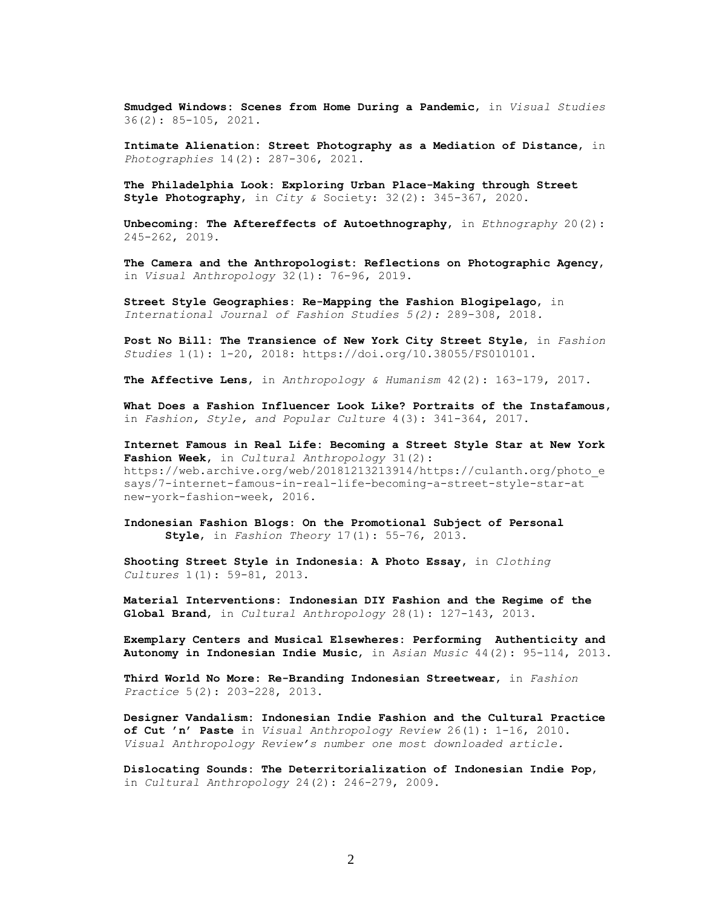**Smudged Windows: Scenes from Home During a Pandemic**, in *Visual Studies* 36(2): 85-105, 2021.

**Intimate Alienation: Street Photography as a Mediation of Distance**, in *Photographies* 14(2): 287-306, 2021.

**The Philadelphia Look: Exploring Urban Place-Making through Street Style Photography**, in *City &* Society: 32(2): 345-367, 2020.

**Unbecoming: The Aftereffects of Autoethnography**, in *Ethnography* 20(2): 245-262, 2019.

**The Camera and the Anthropologist: Reflections on Photographic Agency**, in *Visual Anthropology* 32(1): 76-96, 2019.

**Street Style Geographies: Re-Mapping the Fashion Blogipelago**, in *International Journal of Fashion Studies 5(2):* 289-308, 2018*.*

**Post No Bill: The Transience of New York City Street Style**, in *Fashion Studies* 1(1): 1-20, 2018: https://doi.org/10.38055/FS010101.

**The Affective Lens**, in *Anthropology & Humanism* 42(2): 163-179, 2017.

**What Does a Fashion Influencer Look Like? Portraits of the Instafamous**, in *Fashion, Style, and Popular Culture* 4(3): 341-364, 2017.

**Internet Famous in Real Life: Becoming a Street Style Star at New York Fashion Week**, in *Cultural Anthropology* 31(2): https://web.archive.org/web/20181213213914/https://culanth.org/photo\_e says/7-internet-famous-in-real-life-becoming-a-street-style-star-at new-york-fashion-week, 2016.

**Indonesian Fashion Blogs: On the Promotional Subject of Personal Style**, in *Fashion Theory* 17(1): 55-76, 2013.

**Shooting Street Style in Indonesia: A Photo Essay,** in *Clothing Cultures* 1(1): 59-81, 2013.

**Material Interventions: Indonesian DIY Fashion and the Regime of the Global Brand**, in *Cultural Anthropology* 28(1): 127-143, 2013.

**Exemplary Centers and Musical Elsewheres: Performing Authenticity and Autonomy in Indonesian Indie Music**, in *Asian Music* 44(2): 95-114, 2013.

**Third World No More: Re-Branding Indonesian Streetwear**, in *Fashion Practice* 5(2): 203-228, 2013.

**Designer Vandalism: Indonesian Indie Fashion and the Cultural Practice of Cut 'n' Paste** in *Visual Anthropology Review* 26(1): 1-16, 2010. *Visual Anthropology Review's number one most downloaded article.*

**Dislocating Sounds: The Deterritorialization of Indonesian Indie Pop**, in *Cultural Anthropology* 24(2): 246-279, 2009.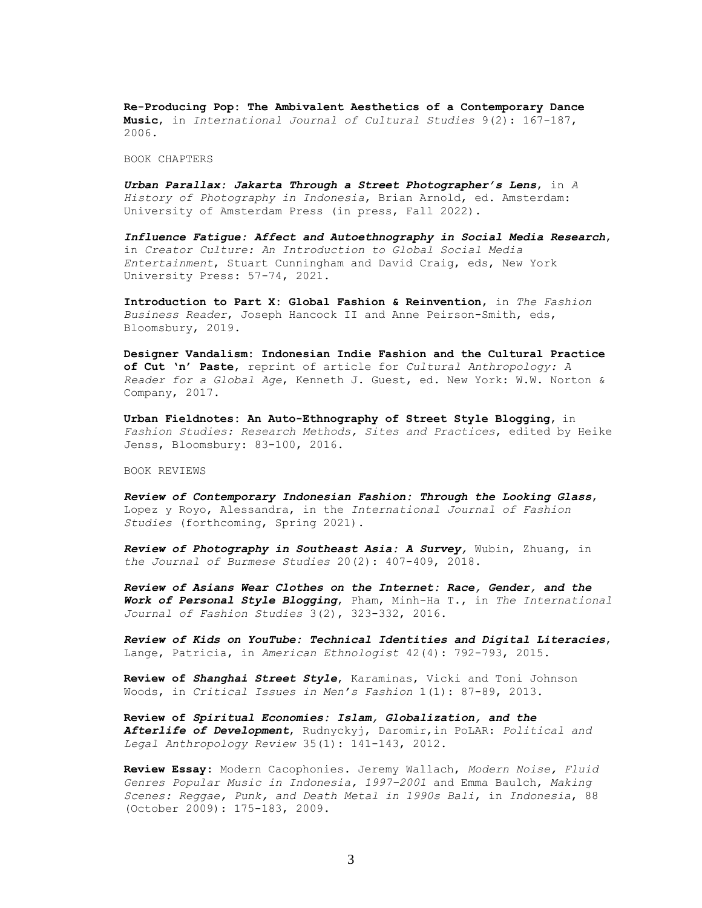**Re-Producing Pop: The Ambivalent Aesthetics of a Contemporary Dance Music**, in *International Journal of Cultural Studies* 9(2): 167-187, 2006.

BOOK CHAPTERS

*Urban Parallax: Jakarta Through a Street Photographer's Lens*, in *A History of Photography in Indonesia*, Brian Arnold, ed. Amsterdam: University of Amsterdam Press (in press, Fall 2022).

*Influence Fatigue: Affect and Autoethnography in Social Media Research*, in *Creator Culture: An Introduction to Global Social Media Entertainment*, Stuart Cunningham and David Craig, eds, New York University Press: 57-74, 2021.

**Introduction to Part X: Global Fashion & Reinvention**, in *The Fashion Business Reader*, Joseph Hancock II and Anne Peirson-Smith, eds, Bloomsbury, 2019.

**Designer Vandalism: Indonesian Indie Fashion and the Cultural Practice of Cut 'n' Paste**, reprint of article for *Cultural Anthropology: A Reader for a Global Age*, Kenneth J. Guest, ed. New York: W.W. Norton & Company, 2017.

**Urban Fieldnotes: An Auto-Ethnography of Street Style Blogging**, in *Fashion Studies: Research Methods, Sites and Practices*, edited by Heike Jenss, Bloomsbury: 83-100, 2016.

BOOK REVIEWS

*Review of Contemporary Indonesian Fashion: Through the Looking Glass*, Lopez y Royo, Alessandra, in the *International Journal of Fashion Studies* (forthcoming, Spring 2021).

*Review of Photography in Southeast Asia: A Survey,* Wubin, Zhuang, in *the Journal of Burmese Studies* 20(2): 407-409, 2018.

*Review of Asians Wear Clothes on the Internet: Race, Gender, and the Work of Personal Style Blogging*, Pham, Minh-Ha T., in *The International Journal of Fashion Studies* 3(2), 323-332, 2016.

*Review of Kids on YouTube: Technical Identities and Digital Literacies*, Lange, Patricia, in *American Ethnologist* 42(4): 792-793, 2015.

**Review of** *Shanghai Street Style*, Karaminas, Vicki and Toni Johnson Woods, in *Critical Issues in Men's Fashion* 1(1): 87-89, 2013.

**Review of** *Spiritual Economies: Islam, Globalization, and the Afterlife of Development*, Rudnyckyj, Daromir,in PoLAR: *Political and Legal Anthropology Review* 35(1): 141-143, 2012.

**Review Essay:** Modern Cacophonies. Jeremy Wallach, *Modern Noise, Fluid Genres Popular Music in Indonesia, 1997–2001* and Emma Baulch, *Making Scenes: Reggae, Punk, and Death Metal in 1990s Bali*, in *Indonesia*, 88 (October 2009): 175-183, 2009.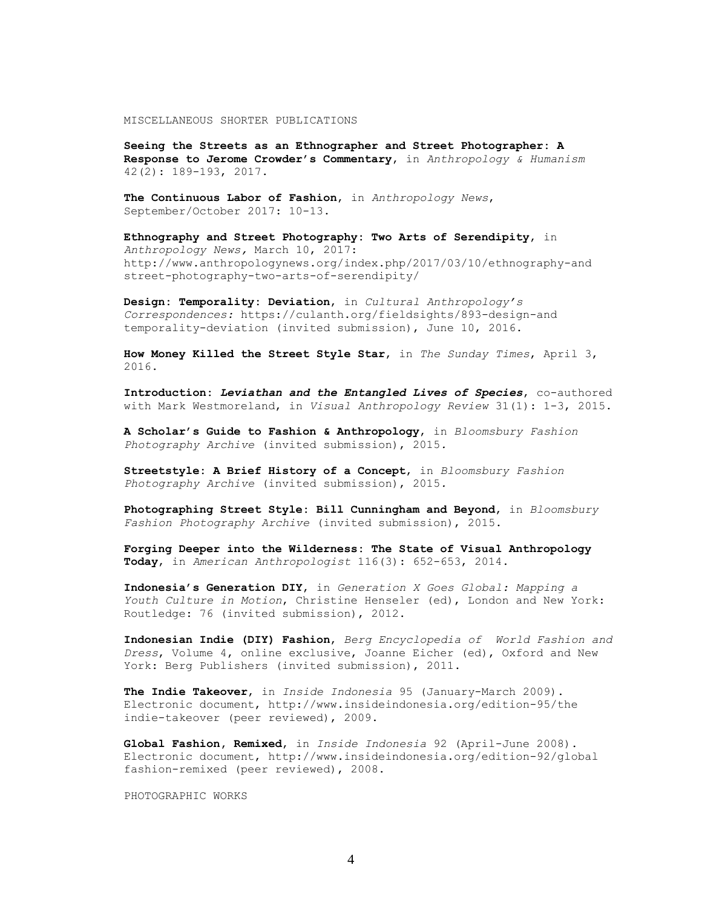MISCELLANEOUS SHORTER PUBLICATIONS

**Seeing the Streets as an Ethnographer and Street Photographer: A Response to Jerome Crowder's Commentary**, in *Anthropology & Humanism* 42(2): 189-193, 2017.

**The Continuous Labor of Fashion**, in *Anthropology News*, September/October 2017: 10-13.

**Ethnography and Street Photography: Two Arts of Serendipity**, in *Anthropology News,* March 10, 2017: http://www.anthropologynews.org/index.php/2017/03/10/ethnography-and street-photography-two-arts-of-serendipity/

**Design: Temporality: Deviation**, in *Cultural Anthropology's Correspondences:* https://culanth.org/fieldsights/893-design-and temporality-deviation (invited submission), June 10, 2016.

**How Money Killed the Street Style Star**, in *The Sunday Times*, April 3, 2016.

**Introduction:** *Leviathan and the Entangled Lives of Species*, co-authored with Mark Westmoreland, in *Visual Anthropology Review* 31(1): 1-3, 2015.

**A Scholar's Guide to Fashion & Anthropology**, in *Bloomsbury Fashion Photography Archive* (invited submission), 2015*.*

**Streetstyle: A Brief History of a Concept**, in *Bloomsbury Fashion Photography Archive* (invited submission), 2015*.*

**Photographing Street Style: Bill Cunningham and Beyond**, in *Bloomsbury Fashion Photography Archive* (invited submission), 2015.

**Forging Deeper into the Wilderness: The State of Visual Anthropology Today**, in *American Anthropologist* 116(3): 652-653, 2014.

**Indonesia's Generation DIY**, in *Generation X Goes Global: Mapping a Youth Culture in Motion*, Christine Henseler (ed), London and New York: Routledge: 76 (invited submission), 2012.

**Indonesian Indie (DIY) Fashion**, *Berg Encyclopedia of World Fashion and Dress*, Volume 4, online exclusive, Joanne Eicher (ed), Oxford and New York: Berg Publishers (invited submission), 2011.

**The Indie Takeover**, in *Inside Indonesia* 95 (January-March 2009). Electronic document, http://www.insideindonesia.org/edition-95/the indie-takeover (peer reviewed), 2009.

**Global Fashion, Remixed**, in *Inside Indonesia* 92 (April-June 2008). Electronic document, http://www.insideindonesia.org/edition-92/global fashion-remixed (peer reviewed), 2008.

PHOTOGRAPHIC WORKS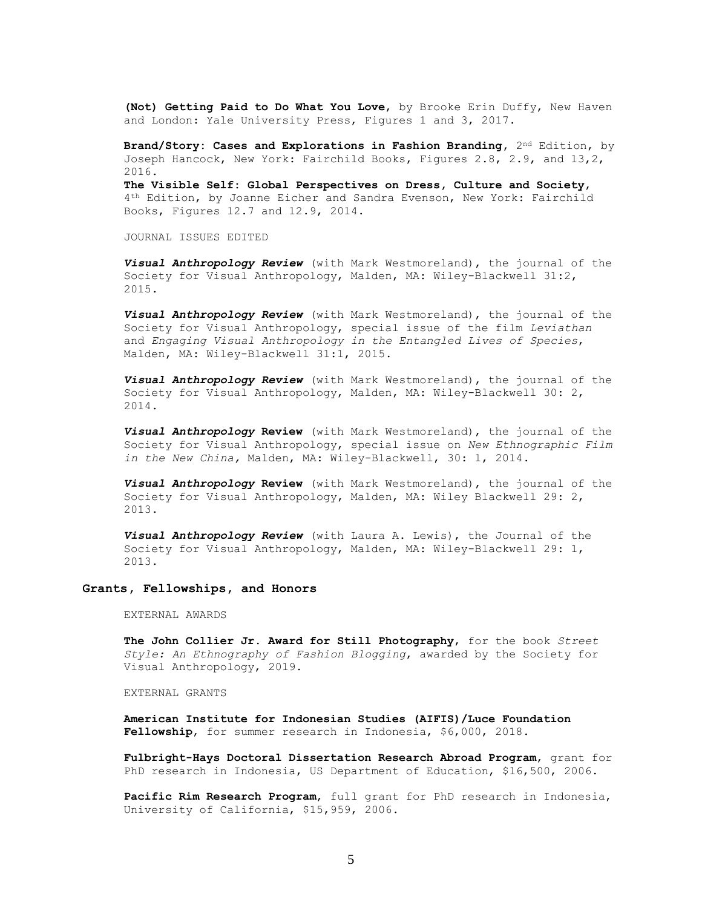**(Not) Getting Paid to Do What You Love**, by Brooke Erin Duffy, New Haven and London: Yale University Press, Figures 1 and 3, 2017.

**Brand/Story: Cases and Explorations in Fashion Branding, 2<sup>nd</sup> Edition, by** Joseph Hancock, New York: Fairchild Books, Figures 2.8, 2.9, and 13,2, 2016.

**The Visible Self: Global Perspectives on Dress, Culture and Society**, 4th Edition, by Joanne Eicher and Sandra Evenson, New York: Fairchild Books, Figures 12.7 and 12.9, 2014.

JOURNAL ISSUES EDITED

*Visual Anthropology Review* (with Mark Westmoreland), the journal of the Society for Visual Anthropology, Malden, MA: Wiley-Blackwell 31:2, 2015.

*Visual Anthropology Review* (with Mark Westmoreland), the journal of the Society for Visual Anthropology, special issue of the film *Leviathan* and *Engaging Visual Anthropology in the Entangled Lives of Species*, Malden, MA: Wiley-Blackwell 31:1, 2015.

*Visual Anthropology Review* (with Mark Westmoreland), the journal of the Society for Visual Anthropology, Malden, MA: Wiley-Blackwell 30: 2, 2014.

*Visual Anthropology* **Review** (with Mark Westmoreland), the journal of the Society for Visual Anthropology, special issue on *New Ethnographic Film in the New China,* Malden, MA: Wiley-Blackwell, 30: 1, 2014.

*Visual Anthropology* **Review** (with Mark Westmoreland), the journal of the Society for Visual Anthropology, Malden, MA: Wiley Blackwell 29: 2, 2013.

*Visual Anthropology Review* (with Laura A. Lewis), the Journal of the Society for Visual Anthropology, Malden, MA: Wiley-Blackwell 29: 1, 2013.

### **Grants, Fellowships, and Honors**

EXTERNAL AWARDS

**The John Collier Jr. Award for Still Photography**, for the book *Street Style: An Ethnography of Fashion Blogging*, awarded by the Society for Visual Anthropology, 2019.

EXTERNAL GRANTS

**American Institute for Indonesian Studies (AIFIS)/Luce Foundation Fellowship**, for summer research in Indonesia, \$6,000, 2018.

**Fulbright-Hays Doctoral Dissertation Research Abroad Program**, grant for PhD research in Indonesia, US Department of Education, \$16,500, 2006.

**Pacific Rim Research Program**, full grant for PhD research in Indonesia, University of California, \$15,959, 2006.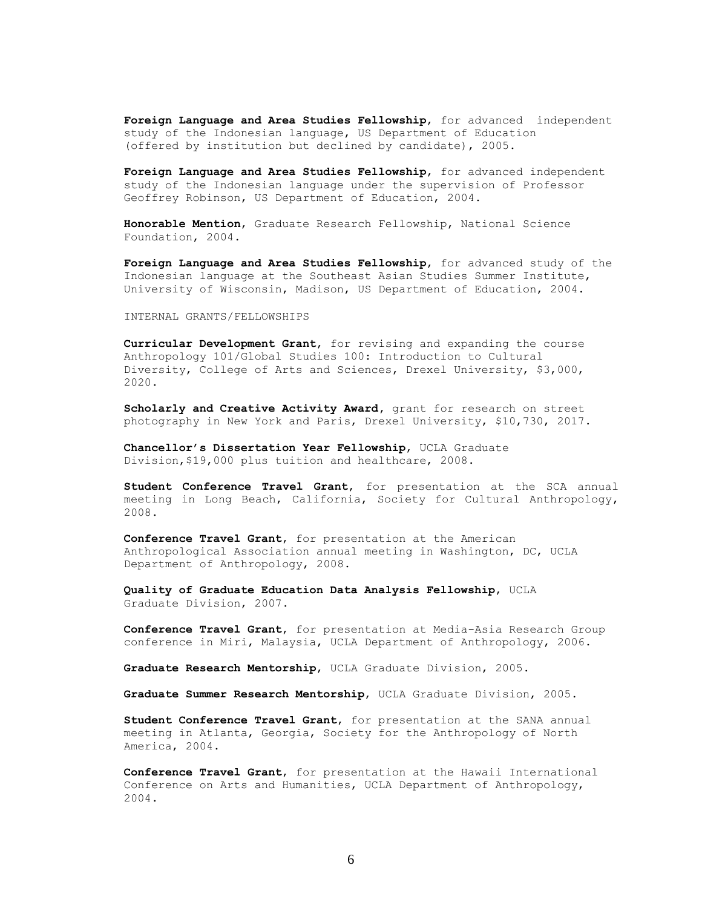**Foreign Language and Area Studies Fellowship**, for advanced independent study of the Indonesian language, US Department of Education (offered by institution but declined by candidate), 2005.

**Foreign Language and Area Studies Fellowship**, for advanced independent study of the Indonesian language under the supervision of Professor Geoffrey Robinson, US Department of Education, 2004.

**Honorable Mention**, Graduate Research Fellowship, National Science Foundation, 2004.

**Foreign Language and Area Studies Fellowship**, for advanced study of the Indonesian language at the Southeast Asian Studies Summer Institute, University of Wisconsin, Madison, US Department of Education, 2004.

INTERNAL GRANTS/FELLOWSHIPS

**Curricular Development Grant**, for revising and expanding the course Anthropology 101/Global Studies 100: Introduction to Cultural Diversity, College of Arts and Sciences, Drexel University, \$3,000, 2020.

**Scholarly and Creative Activity Award,** grant for research on street photography in New York and Paris, Drexel University, \$10,730, 2017.

**Chancellor's Dissertation Year Fellowship**, UCLA Graduate Division,\$19,000 plus tuition and healthcare, 2008.

**Student Conference Travel Grant**, for presentation at the SCA annual meeting in Long Beach, California, Society for Cultural Anthropology, 2008.

**Conference Travel Grant**, for presentation at the American Anthropological Association annual meeting in Washington, DC, UCLA Department of Anthropology, 2008.

**Quality of Graduate Education Data Analysis Fellowship**, UCLA Graduate Division, 2007.

**Conference Travel Grant**, for presentation at Media-Asia Research Group conference in Miri, Malaysia, UCLA Department of Anthropology, 2006.

**Graduate Research Mentorship**, UCLA Graduate Division, 2005.

**Graduate Summer Research Mentorship**, UCLA Graduate Division, 2005.

**Student Conference Travel Grant**, for presentation at the SANA annual meeting in Atlanta, Georgia, Society for the Anthropology of North America, 2004.

**Conference Travel Grant**, for presentation at the Hawaii International Conference on Arts and Humanities, UCLA Department of Anthropology, 2004.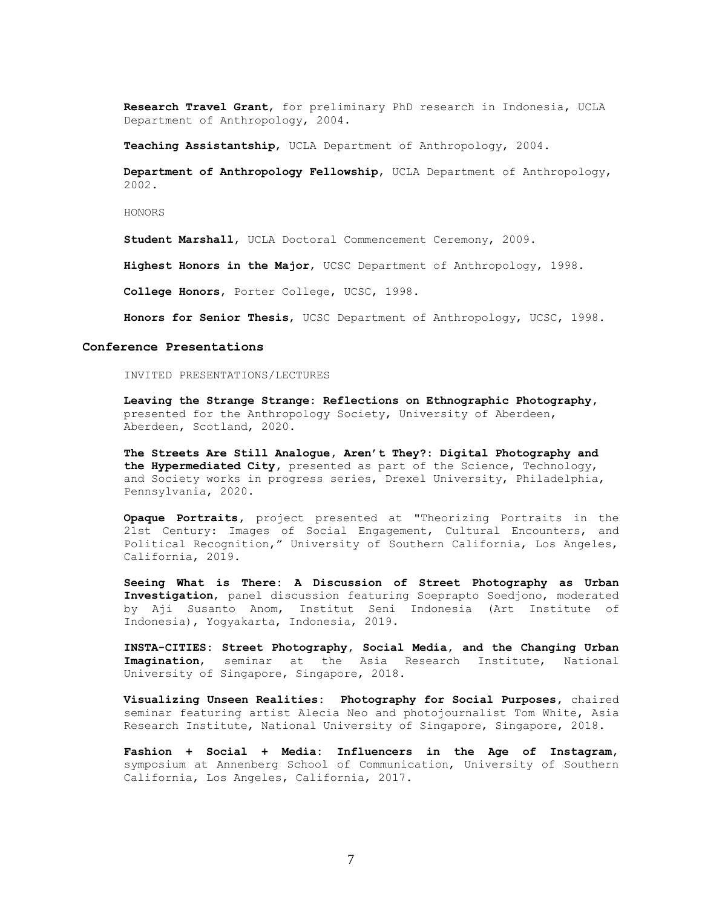**Research Travel Grant**, for preliminary PhD research in Indonesia, UCLA Department of Anthropology, 2004.

**Teaching Assistantship**, UCLA Department of Anthropology, 2004.

 **Department of Anthropology Fellowship**, UCLA Department of Anthropology, 2002.

HONORS

**Student Marshall**, UCLA Doctoral Commencement Ceremony, 2009.

**Highest Honors in the Major**, UCSC Department of Anthropology, 1998.

**College Honors**, Porter College, UCSC, 1998.

**Honors for Senior Thesis**, UCSC Department of Anthropology, UCSC, 1998.

#### **Conference Presentations**

INVITED PRESENTATIONS/LECTURES

**Leaving the Strange Strange: Reflections on Ethnographic Photography,** presented for the Anthropology Society, University of Aberdeen, Aberdeen, Scotland, 2020.

**The Streets Are Still Analogue, Aren't They?: Digital Photography and the Hypermediated City,** presented as part of the Science, Technology, and Society works in progress series, Drexel University, Philadelphia, Pennsylvania, 2020.

**Opaque Portraits,** project presented at "Theorizing Portraits in the 21st Century: Images of Social Engagement, Cultural Encounters, and Political Recognition," University of Southern California, Los Angeles, California, 2019.

**Seeing What is There: A Discussion of Street Photography as Urban Investigation**, panel discussion featuring Soeprapto Soedjono, moderated by Aji Susanto Anom, Institut Seni Indonesia (Art Institute of Indonesia), Yogyakarta, Indonesia, 2019.

**INSTA-CITIES: Street Photography, Social Media, and the Changing Urban Imagination**, seminar at the Asia Research Institute, National University of Singapore, Singapore, 2018.

**Visualizing Unseen Realities: Photography for Social Purposes,** chaired seminar featuring artist Alecia Neo and photojournalist Tom White, Asia Research Institute, National University of Singapore, Singapore, 2018.

**Fashion + Social + Media: Influencers in the Age of Instagram**, symposium at Annenberg School of Communication, University of Southern California, Los Angeles, California, 2017.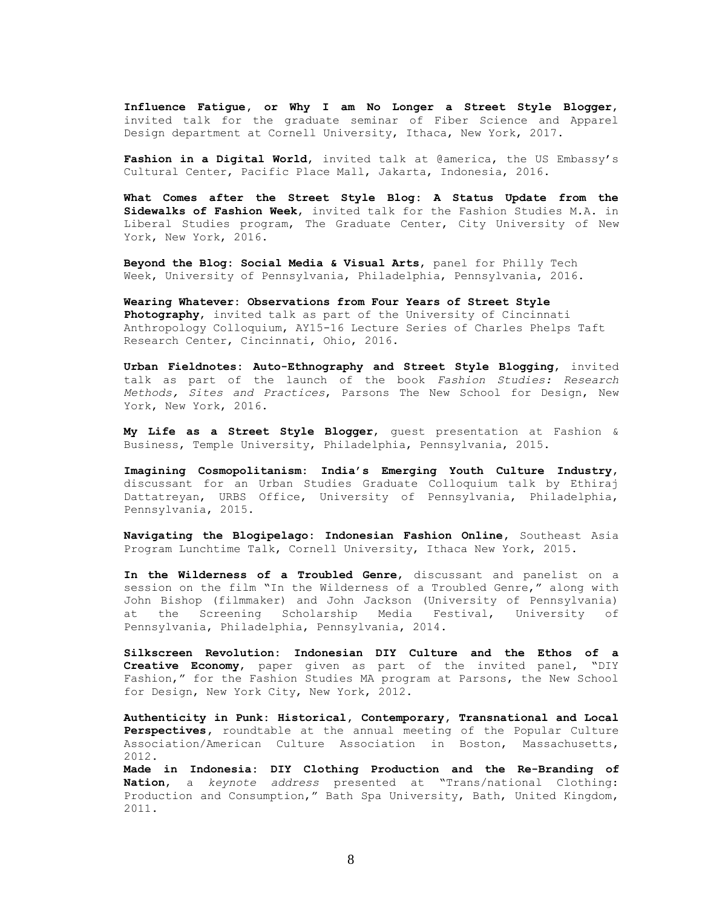**Influence Fatigue, or Why I am No Longer a Street Style Blogger**, invited talk for the graduate seminar of Fiber Science and Apparel Design department at Cornell University, Ithaca, New York, 2017.

**Fashion in a Digital World**, invited talk at @america, the US Embassy's Cultural Center, Pacific Place Mall, Jakarta, Indonesia, 2016.

**What Comes after the Street Style Blog: A Status Update from the Sidewalks of Fashion Week**, invited talk for the Fashion Studies M.A. in Liberal Studies program, The Graduate Center, City University of New York, New York, 2016.

**Beyond the Blog: Social Media & Visual Arts**, panel for Philly Tech Week, University of Pennsylvania, Philadelphia, Pennsylvania, 2016.

**Wearing Whatever: Observations from Four Years of Street Style Photography**, invited talk as part of the University of Cincinnati Anthropology Colloquium, AY15-16 Lecture Series of Charles Phelps Taft Research Center, Cincinnati, Ohio, 2016.

**Urban Fieldnotes: Auto-Ethnography and Street Style Blogging**, invited talk as part of the launch of the book *Fashion Studies: Research Methods, Sites and Practices*, Parsons The New School for Design, New York, New York, 2016.

**My Life as a Street Style Blogger**, guest presentation at Fashion & Business, Temple University, Philadelphia, Pennsylvania, 2015.

**Imagining Cosmopolitanism: India's Emerging Youth Culture Industry**, discussant for an Urban Studies Graduate Colloquium talk by Ethiraj Dattatreyan, URBS Office, University of Pennsylvania, Philadelphia, Pennsylvania, 2015.

**Navigating the Blogipelago: Indonesian Fashion Online,** Southeast Asia Program Lunchtime Talk, Cornell University, Ithaca New York, 2015.

**In the Wilderness of a Troubled Genre**, discussant and panelist on a session on the film "In the Wilderness of a Troubled Genre," along with John Bishop (filmmaker) and John Jackson (University of Pennsylvania) at the Screening Scholarship Media Festival, University of Pennsylvania, Philadelphia, Pennsylvania, 2014.

**Silkscreen Revolution: Indonesian DIY Culture and the Ethos of a Creative Economy**, paper given as part of the invited panel, "DIY Fashion," for the Fashion Studies MA program at Parsons, the New School for Design, New York City, New York, 2012.

**Authenticity in Punk: Historical, Contemporary, Transnational and Local Perspectives,** roundtable at the annual meeting of the Popular Culture Association/American Culture Association in Boston, Massachusetts, 2012.

**Made in Indonesia: DIY Clothing Production and the Re-Branding of Nation**, a *keynote address* presented at "Trans/national Clothing: Production and Consumption," Bath Spa University, Bath, United Kingdom, 2011.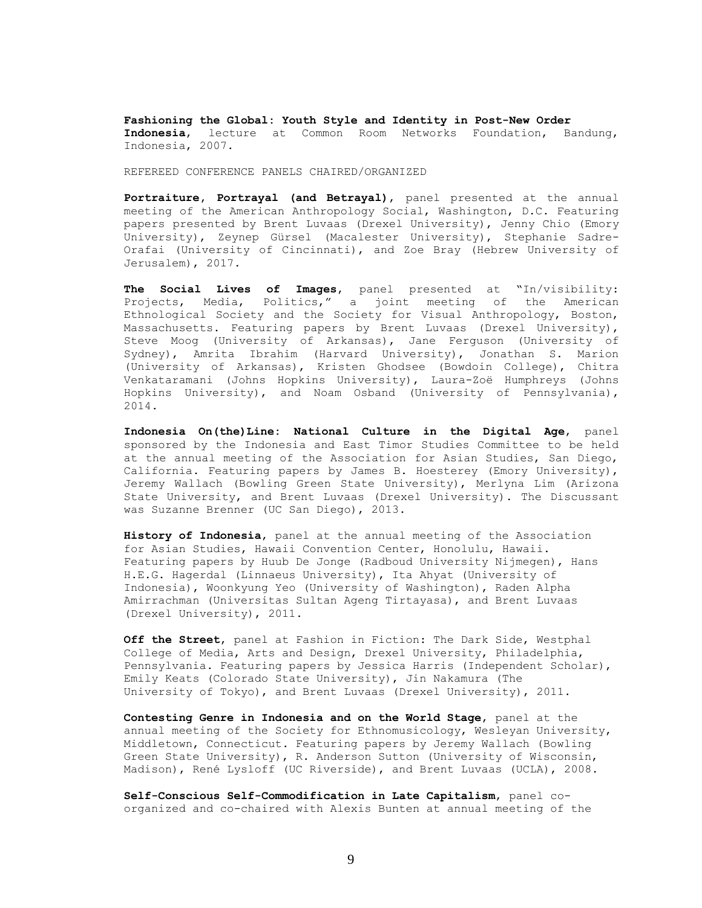**Fashioning the Global: Youth Style and Identity in Post-New Order Indonesia**, lecture at Common Room Networks Foundation, Bandung, Indonesia, 2007.

REFEREED CONFERENCE PANELS CHAIRED/ORGANIZED

**Portraiture, Portrayal (and Betrayal)**, panel presented at the annual meeting of the American Anthropology Social, Washington, D.C. Featuring papers presented by Brent Luvaas (Drexel University), Jenny Chio (Emory University), Zeynep Gürsel (Macalester University), Stephanie Sadre-Orafai (University of Cincinnati), and Zoe Bray (Hebrew University of Jerusalem), 2017.

**The Social Lives of Images**, panel presented at "In/visibility: Projects, Media, Politics," a joint meeting of the American Ethnological Society and the Society for Visual Anthropology, Boston, Massachusetts. Featuring papers by Brent Luvaas (Drexel University), Steve Moog (University of Arkansas), Jane Ferguson (University of Sydney), Amrita Ibrahim (Harvard University), Jonathan S. Marion (University of Arkansas), Kristen Ghodsee (Bowdoin College), Chitra Venkataramani (Johns Hopkins University), Laura-Zoë Humphreys (Johns Hopkins University), and Noam Osband (University of Pennsylvania), 2014.

**Indonesia On(the)Line: National Culture in the Digital Age**, panel sponsored by the Indonesia and East Timor Studies Committee to be held at the annual meeting of the Association for Asian Studies, San Diego, California. Featuring papers by James B. Hoesterey (Emory University), Jeremy Wallach (Bowling Green State University), Merlyna Lim (Arizona State University, and Brent Luvaas (Drexel University). The Discussant was Suzanne Brenner (UC San Diego), 2013.

**History of Indonesia**, panel at the annual meeting of the Association for Asian Studies, Hawaii Convention Center, Honolulu, Hawaii. Featuring papers by Huub De Jonge (Radboud University Nijmegen), Hans H.E.G. Hagerdal (Linnaeus University), Ita Ahyat (University of Indonesia), Woonkyung Yeo (University of Washington), Raden Alpha Amirrachman (Universitas Sultan Ageng Tirtayasa), and Brent Luvaas (Drexel University), 2011.

**Off the Street**, panel at Fashion in Fiction: The Dark Side, Westphal College of Media, Arts and Design, Drexel University, Philadelphia, Pennsylvania. Featuring papers by Jessica Harris (Independent Scholar), Emily Keats (Colorado State University), Jin Nakamura (The University of Tokyo), and Brent Luvaas (Drexel University), 2011.

**Contesting Genre in Indonesia and on the World Stage**, panel at the annual meeting of the Society for Ethnomusicology, Wesleyan University, Middletown, Connecticut. Featuring papers by Jeremy Wallach (Bowling Green State University), R. Anderson Sutton (University of Wisconsin, Madison), René Lysloff (UC Riverside), and Brent Luvaas (UCLA), 2008.

**Self-Conscious Self-Commodification in Late Capitalism**, panel coorganized and co-chaired with Alexis Bunten at annual meeting of the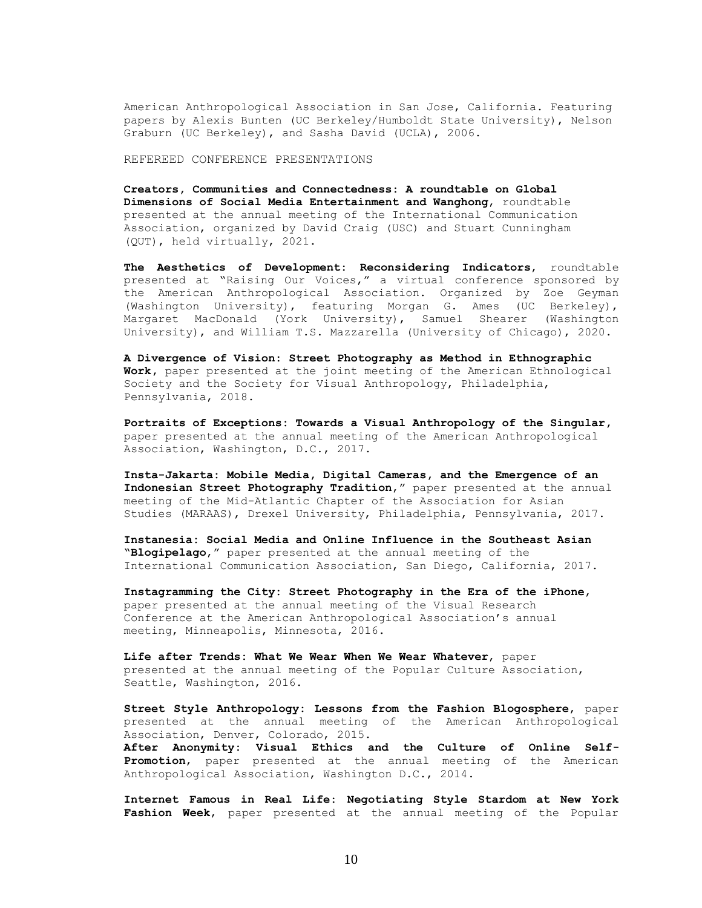American Anthropological Association in San Jose, California. Featuring papers by Alexis Bunten (UC Berkeley/Humboldt State University), Nelson Graburn (UC Berkeley), and Sasha David (UCLA), 2006.

REFEREED CONFERENCE PRESENTATIONS

**Creators, Communities and Connectedness: A roundtable on Global Dimensions of Social Media Entertainment and Wanghong**, roundtable presented at the annual meeting of the International Communication Association, organized by David Craig (USC) and Stuart Cunningham (QUT), held virtually, 2021.

**The Aesthetics of Development: Reconsidering Indicators**, roundtable presented at "Raising Our Voices," a virtual conference sponsored by the American Anthropological Association. Organized by Zoe Geyman (Washington University), featuring Morgan G. Ames (UC Berkeley), Margaret MacDonald (York University), Samuel Shearer (Washington University), and William T.S. Mazzarella (University of Chicago), 2020.

**A Divergence of Vision: Street Photography as Method in Ethnographic Work,** paper presented at the joint meeting of the American Ethnological Society and the Society for Visual Anthropology, Philadelphia, Pennsylvania, 2018.

**Portraits of Exceptions: Towards a Visual Anthropology of the Singular,** paper presented at the annual meeting of the American Anthropological Association, Washington, D.C., 2017.

**Insta-Jakarta: Mobile Media, Digital Cameras, and the Emergence of an Indonesian Street Photography Tradition**," paper presented at the annual meeting of the Mid-Atlantic Chapter of the Association for Asian Studies (MARAAS), Drexel University, Philadelphia, Pennsylvania, 2017.

**Instanesia: Social Media and Online Influence in the Southeast Asian "Blogipelago**," paper presented at the annual meeting of the International Communication Association, San Diego, California, 2017.

**Instagramming the City: Street Photography in the Era of the iPhone**, paper presented at the annual meeting of the Visual Research Conference at the American Anthropological Association's annual meeting, Minneapolis, Minnesota, 2016.

**Life after Trends: What We Wear When We Wear Whatever**, paper presented at the annual meeting of the Popular Culture Association, Seattle, Washington, 2016.

**Street Style Anthropology: Lessons from the Fashion Blogosphere**, paper presented at the annual meeting of the American Anthropological Association, Denver, Colorado, 2015.

**After Anonymity: Visual Ethics and the Culture of Online Self-Promotion**, paper presented at the annual meeting of the American Anthropological Association, Washington D.C., 2014.

**Internet Famous in Real Life: Negotiating Style Stardom at New York Fashion Week**, paper presented at the annual meeting of the Popular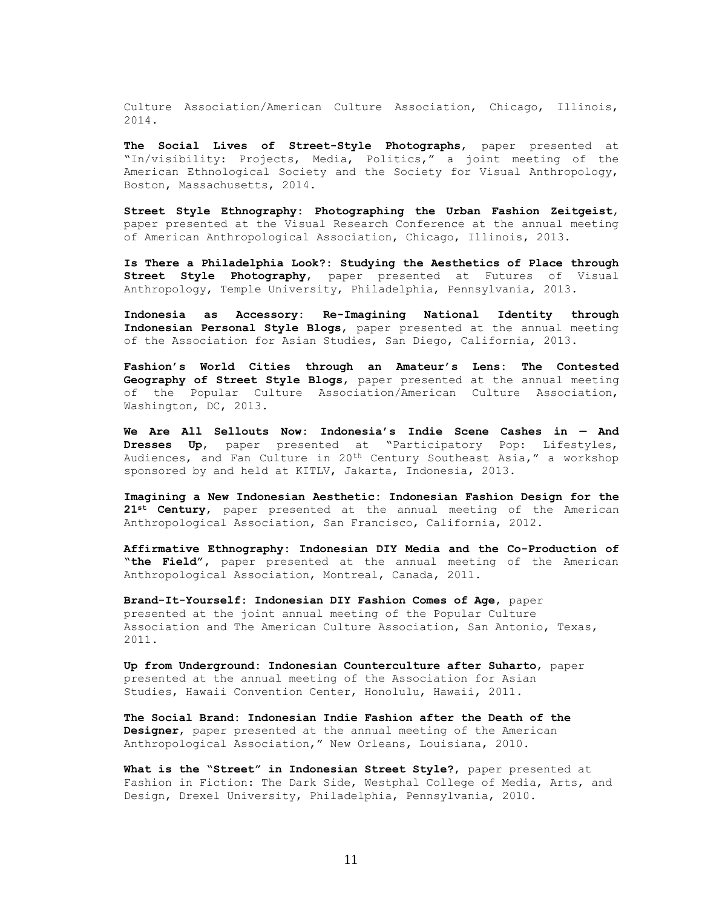Culture Association/American Culture Association, Chicago, Illinois, 2014.

**The Social Lives of Street-Style Photographs**, paper presented at "In/visibility: Projects, Media, Politics," a joint meeting of the American Ethnological Society and the Society for Visual Anthropology, Boston, Massachusetts, 2014.

**Street Style Ethnography: Photographing the Urban Fashion Zeitgeist**, paper presented at the Visual Research Conference at the annual meeting of American Anthropological Association, Chicago, Illinois, 2013.

**Is There a Philadelphia Look?: Studying the Aesthetics of Place through Street Style Photography**, paper presented at Futures of Visual Anthropology, Temple University, Philadelphia, Pennsylvania, 2013.

**Indonesia as Accessory: Re-Imagining National Identity through Indonesian Personal Style Blogs**, paper presented at the annual meeting of the Association for Asian Studies, San Diego, California, 2013.

**Fashion's World Cities through an Amateur's Lens: The Contested Geography of Street Style Blogs**, paper presented at the annual meeting of the Popular Culture Association/American Culture Association, Washington, DC, 2013.

**We Are All Sellouts Now: Indonesia's Indie Scene Cashes in — And Dresses Up**, paper presented at "Participatory Pop: Lifestyles, Audiences, and Fan Culture in 20th Century Southeast Asia," a workshop sponsored by and held at KITLV, Jakarta, Indonesia, 2013.

**Imagining a New Indonesian Aesthetic: Indonesian Fashion Design for the 21st Century**, paper presented at the annual meeting of the American Anthropological Association, San Francisco, California, 2012.

**Affirmative Ethnography: Indonesian DIY Media and the Co-Production of "the Field",** paper presented at the annual meeting of the American Anthropological Association, Montreal, Canada, 2011.

**Brand-It-Yourself: Indonesian DIY Fashion Comes of Age**, paper presented at the joint annual meeting of the Popular Culture Association and The American Culture Association, San Antonio, Texas, 2011.

**Up from Underground: Indonesian Counterculture after Suharto**, paper presented at the annual meeting of the Association for Asian Studies, Hawaii Convention Center, Honolulu, Hawaii, 2011.

**The Social Brand: Indonesian Indie Fashion after the Death of the Designer**, paper presented at the annual meeting of the American Anthropological Association," New Orleans, Louisiana, 2010.

**What is the "Street" in Indonesian Street Style?**, paper presented at Fashion in Fiction: The Dark Side, Westphal College of Media, Arts, and Design, Drexel University, Philadelphia, Pennsylvania, 2010.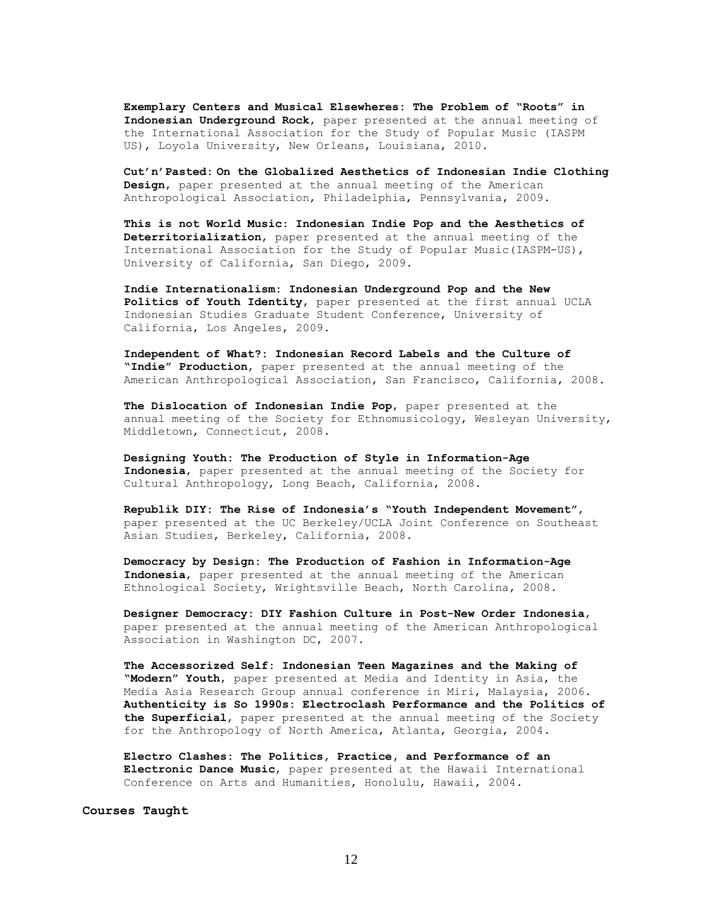**Exemplary Centers and Musical Elsewheres: The Problem of "Roots" in Indonesian Underground Rock**, paper presented at the annual meeting of the International Association for the Study of Popular Music (IASPM US), Loyola University, New Orleans, Louisiana, 2010.

**Cut'n'Pasted: On the Globalized Aesthetics of Indonesian Indie Clothing Design**, paper presented at the annual meeting of the American Anthropological Association, Philadelphia, Pennsylvania, 2009.

**This is not World Music: Indonesian Indie Pop and the Aesthetics of Deterritorialization**, paper presented at the annual meeting of the International Association for the Study of Popular Music(IASPM-US), University of California, San Diego, 2009.

**Indie Internationalism: Indonesian Underground Pop and the New Politics of Youth Identity**, paper presented at the first annual UCLA Indonesian Studies Graduate Student Conference, University of California, Los Angeles, 2009.

**Independent of What?: Indonesian Record Labels and the Culture of "Indie" Production**, paper presented at the annual meeting of the American Anthropological Association, San Francisco, California, 2008.

**The Dislocation of Indonesian Indie Pop**, paper presented at the annual meeting of the Society for Ethnomusicology, Wesleyan University, Middletown, Connecticut, 2008.

**Designing Youth: The Production of Style in Information-Age Indonesia**, paper presented at the annual meeting of the Society for Cultural Anthropology, Long Beach, California, 2008.

**Republik DIY: The Rise of Indonesia's "Youth Independent Movement"**, paper presented at the UC Berkeley/UCLA Joint Conference on Southeast Asian Studies, Berkeley, California, 2008.

**Democracy by Design: The Production of Fashion in Information-Age Indonesia**, paper presented at the annual meeting of the American Ethnological Society, Wrightsville Beach, North Carolina, 2008.

**Designer Democracy: DIY Fashion Culture in Post-New Order Indonesia**, paper presented at the annual meeting of the American Anthropological Association in Washington DC, 2007.

**The Accessorized Self: Indonesian Teen Magazines and the Making of "Modern" Youth**, paper presented at Media and Identity in Asia, the Media Asia Research Group annual conference in Miri, Malaysia, 2006. **Authenticity is So 1990s: Electroclash Performance and the Politics of the Superficial**, paper presented at the annual meeting of the Society for the Anthropology of North America, Atlanta, Georgia, 2004.

**Electro Clashes: The Politics, Practice, and Performance of an Electronic Dance Music**, paper presented at the Hawaii International Conference on Arts and Humanities, Honolulu, Hawaii, 2004.

**Courses Taught**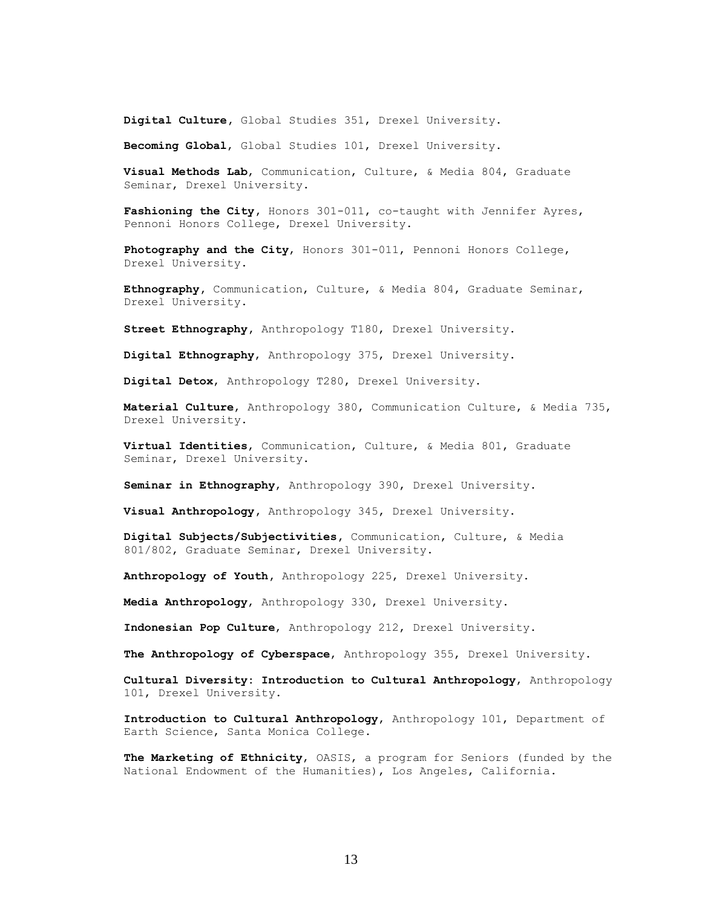**Digital Culture,** Global Studies 351, Drexel University.

**Becoming Global**, Global Studies 101, Drexel University.

**Visual Methods Lab**, Communication, Culture, & Media 804, Graduate Seminar, Drexel University.

Fashioning the City, Honors 301-011, co-taught with Jennifer Ayres, Pennoni Honors College, Drexel University.

**Photography and the City**, Honors 301-011, Pennoni Honors College, Drexel University.

**Ethnography,** Communication, Culture, & Media 804, Graduate Seminar, Drexel University.

**Street Ethnography,** Anthropology T180, Drexel University.

**Digital Ethnography**, Anthropology 375, Drexel University.

**Digital Detox**, Anthropology T280, Drexel University.

**Material Culture**, Anthropology 380, Communication Culture, & Media 735, Drexel University.

**Virtual Identities**, Communication, Culture, & Media 801, Graduate Seminar, Drexel University.

**Seminar in Ethnography**, Anthropology 390, Drexel University.

**Visual Anthropology,** Anthropology 345, Drexel University.

**Digital Subjects/Subjectivities,** Communication, Culture, & Media 801/802, Graduate Seminar, Drexel University.

**Anthropology of Youth,** Anthropology 225, Drexel University.

**Media Anthropology**, Anthropology 330, Drexel University.

**Indonesian Pop Culture**, Anthropology 212, Drexel University.

**The Anthropology of Cyberspace**, Anthropology 355, Drexel University.

**Cultural Diversity: Introduction to Cultural Anthropology**, Anthropology 101, Drexel University.

**Introduction to Cultural Anthropology**, Anthropology 101, Department of Earth Science, Santa Monica College.

**The Marketing of Ethnicity**, OASIS, a program for Seniors (funded by the National Endowment of the Humanities), Los Angeles, California.